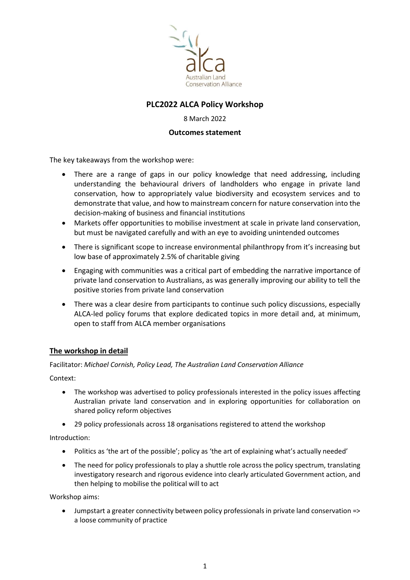

# PLC2022 ALCA Policy Workshop

### 8 March 2022

### Outcomes statement

The key takeaways from the workshop were:

- There are a range of gaps in our policy knowledge that need addressing, including understanding the behavioural drivers of landholders who engage in private land conservation, how to appropriately value biodiversity and ecosystem services and to demonstrate that value, and how to mainstream concern for nature conservation into the decision-making of business and financial institutions
- Markets offer opportunities to mobilise investment at scale in private land conservation, but must be navigated carefully and with an eye to avoiding unintended outcomes
- There is significant scope to increase environmental philanthropy from it's increasing but low base of approximately 2.5% of charitable giving
- Engaging with communities was a critical part of embedding the narrative importance of private land conservation to Australians, as was generally improving our ability to tell the positive stories from private land conservation
- There was a clear desire from participants to continue such policy discussions, especially ALCA-led policy forums that explore dedicated topics in more detail and, at minimum, open to staff from ALCA member organisations

## The workshop in detail

Facilitator: Michael Cornish, Policy Lead, The Australian Land Conservation Alliance

Context:

- The workshop was advertised to policy professionals interested in the policy issues affecting Australian private land conservation and in exploring opportunities for collaboration on shared policy reform objectives
- 29 policy professionals across 18 organisations registered to attend the workshop

Introduction:

- Politics as 'the art of the possible'; policy as 'the art of explaining what's actually needed'
- The need for policy professionals to play a shuttle role across the policy spectrum, translating investigatory research and rigorous evidence into clearly articulated Government action, and then helping to mobilise the political will to act

Workshop aims:

 Jumpstart a greater connectivity between policy professionals in private land conservation => a loose community of practice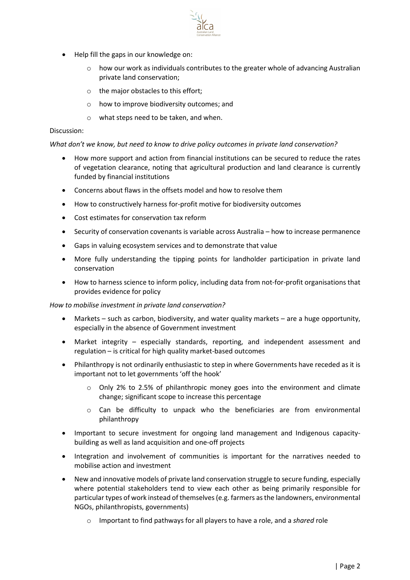- Help fill the gaps in our knowledge on:
	- $\circ$  how our work as individuals contributes to the greater whole of advancing Australian private land conservation;
	- o the major obstacles to this effort;
	- o how to improve biodiversity outcomes; and
	- o what steps need to be taken, and when.

#### Discussion:

#### What don't we know, but need to know to drive policy outcomes in private land conservation?

- How more support and action from financial institutions can be secured to reduce the rates of vegetation clearance, noting that agricultural production and land clearance is currently funded by financial institutions
- Concerns about flaws in the offsets model and how to resolve them
- How to constructively harness for-profit motive for biodiversity outcomes
- Cost estimates for conservation tax reform
- Security of conservation covenants is variable across Australia how to increase permanence
- Gaps in valuing ecosystem services and to demonstrate that value
- More fully understanding the tipping points for landholder participation in private land conservation
- How to harness science to inform policy, including data from not-for-profit organisations that provides evidence for policy

#### How to mobilise investment in private land conservation?

- Markets such as carbon, biodiversity, and water quality markets are a huge opportunity, especially in the absence of Government investment
- Market integrity especially standards, reporting, and independent assessment and regulation – is critical for high quality market-based outcomes
- Philanthropy is not ordinarily enthusiastic to step in where Governments have receded as it is important not to let governments 'off the hook'
	- o Only 2% to 2.5% of philanthropic money goes into the environment and climate change; significant scope to increase this percentage
	- o Can be difficulty to unpack who the beneficiaries are from environmental philanthropy
- Important to secure investment for ongoing land management and Indigenous capacitybuilding as well as land acquisition and one-off projects
- Integration and involvement of communities is important for the narratives needed to mobilise action and investment
- New and innovative models of private land conservation struggle to secure funding, especially where potential stakeholders tend to view each other as being primarily responsible for particular types of work instead of themselves (e.g. farmers as the landowners, environmental NGOs, philanthropists, governments)
	- o Important to find pathways for all players to have a role, and a shared role